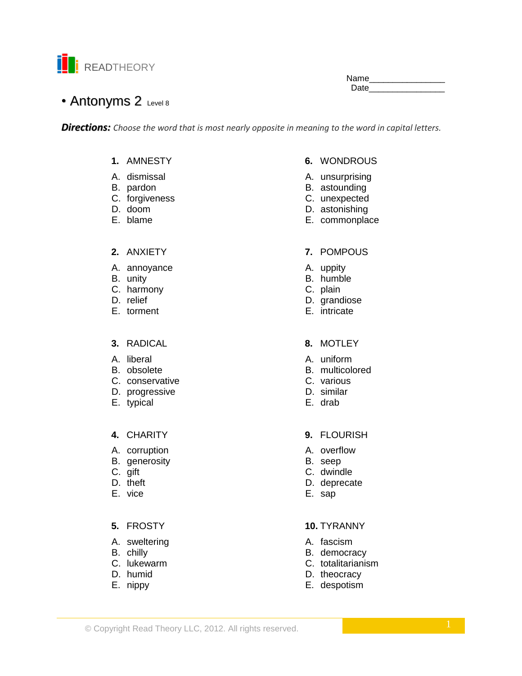

Name\_\_\_\_\_\_\_\_\_\_\_\_\_\_\_\_ Date

# • Antonyms 2 Level 8

*Directions: Choose the word that is most nearly opposite in meaning to the word in capital letters.*

# **1.** AMNESTY

- A. dismissal
- B. pardon
- C. forgiveness
- D. doom
- E. blame

### **2.** ANXIETY

- A. annoyance
- B. unity
- C. harmony
- D. relief
- E. torment

# **3.** RADICAL

- A. liberal
- B. obsolete
- C. conservative
- D. progressive
- E. typical

### **4.** CHARITY

- A. corruption
- B. generosity
- C. gift
- D. theft
- E. vice

# **5.** FROSTY

- A. sweltering
- B. chilly
- C. lukewarm
- D. humid
- E. nippy
- **6.** WONDROUS
- A. unsurprising
- B. astounding
- C. unexpected
- D. astonishing
- E. commonplace

### **7.** POMPOUS

- A. uppity
- B. humble
- C. plain
- D. grandiose
- E. intricate

### **8.** MOTLEY

- A. uniform
- B. multicolored
- C. various
- D. similar
- E. drab

### **9.** FLOURISH

- A. overflow
- B. seep
- C. dwindle
- D. deprecate
- E. sap

# **10.** TYRANNY

- A. fascism
- B. democracy
- C. totalitarianism
- D. theocracy
- E. despotism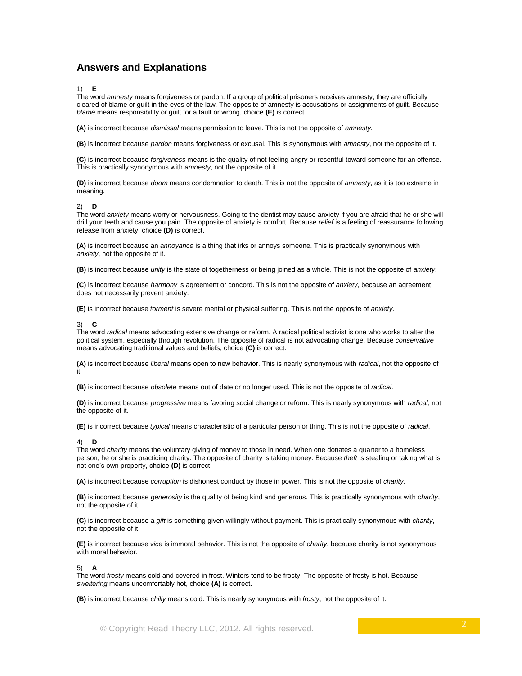# **Answers and Explanations**

1) **E**

The word *amnesty* means forgiveness or pardon. If a group of political prisoners receives amnesty, they are officially cleared of blame or guilt in the eyes of the law. The opposite of amnesty is accusations or assignments of guilt. Because *blame* means responsibility or guilt for a fault or wrong, choice **(E)** is correct.

**(A)** is incorrect because *dismissal* means permission to leave. This is not the opposite of *amnesty.*

**(B)** is incorrect because *pardon* means forgiveness or excusal. This is synonymous with *amnesty*, not the opposite of it.

**(C)** is incorrect because *forgiveness* means is the quality of not feeling angry or resentful toward someone for an offense. This is practically synonymous with *amnesty*, not the opposite of it.

**(D)** is incorrect because *doom* means condemnation to death. This is not the opposite of *amnesty*, as it is too extreme in meaning.

2) **D**

The word *anxiety* means worry or nervousness. Going to the dentist may cause anxiety if you are afraid that he or she will drill your teeth and cause you pain. The opposite of anxiety is comfort. Because *relief* is a feeling of reassurance following release from anxiety, choice **(D)** is correct.

**(A)** is incorrect because an *annoyance* is a thing that irks or annoys someone. This is practically synonymous with *anxiety*, not the opposite of it.

**(B)** is incorrect because *unity* is the state of togetherness or being joined as a whole. This is not the opposite of *anxiety*.

**(C)** is incorrect because *harmony* is agreement or concord. This is not the opposite of *anxiety*, because an agreement does not necessarily prevent anxiety.

**(E)** is incorrect because *torment* is severe mental or physical suffering. This is not the opposite of *anxiety*.

#### 3) **C**

The word *radical* means advocating extensive change or reform. A radical political activist is one who works to alter the political system, especially through revolution. The opposite of radical is not advocating change. Because *conservative* means advocating traditional values and beliefs, choice **(C)** is correct.

**(A)** is incorrect because *liberal* means open to new behavior. This is nearly synonymous with *radical*, not the opposite of it.

**(B)** is incorrect because *obsolete* means out of date or no longer used. This is not the opposite of *radical*.

**(D)** is incorrect because *progressive* means favoring social change or reform. This is nearly synonymous with *radical*, not the opposite of it.

**(E)** is incorrect because *typical* means characteristic of a particular person or thing. This is not the opposite of *radical*.

#### 4) **D**

The word *charity* means the voluntary giving of money to those in need. When one donates a quarter to a homeless person, he or she is practicing charity. The opposite of charity is taking money. Because *theft* is stealing or taking what is not one's own property, choice **(D)** is correct.

**(A)** is incorrect because *corruption* is dishonest conduct by those in power. This is not the opposite of *charity*.

**(B)** is incorrect because *generosity* is the quality of being kind and generous. This is practically synonymous with *charity*, not the opposite of it.

**(C)** is incorrect because a *gift* is something given willingly without payment. This is practically synonymous with *charity*, not the opposite of it.

**(E)** is incorrect because *vice* is immoral behavior. This is not the opposite of *charity*, because charity is not synonymous with moral behavior

#### 5) **A**

The word *frosty* means cold and covered in frost. Winters tend to be frosty. The opposite of frosty is hot. Because *sweltering* means uncomfortably hot, choice **(A)** is correct.

**(B)** is incorrect because *chilly* means cold. This is nearly synonymous with *frosty*, not the opposite of it.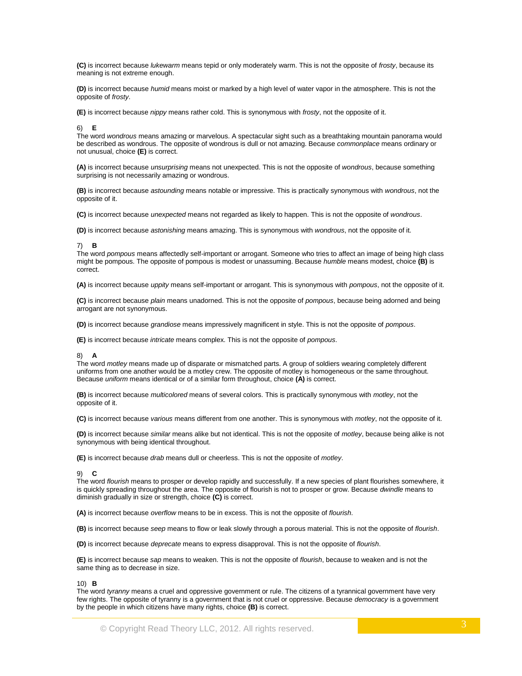**(C)** is incorrect because *lukewarm* means tepid or only moderately warm. This is not the opposite of *frosty*, because its meaning is not extreme enough.

**(D)** is incorrect because *humid* means moist or marked by a high level of water vapor in the atmosphere. This is not the opposite of *frosty*.

**(E)** is incorrect because *nippy* means rather cold. This is synonymous with *frosty*, not the opposite of it.

6) **E**

The word *wondrous* means amazing or marvelous. A spectacular sight such as a breathtaking mountain panorama would be described as wondrous. The opposite of wondrous is dull or not amazing. Because *commonplace* means ordinary or not unusual, choice **(E)** is correct.

**(A)** is incorrect because *unsurprising* means not unexpected. This is not the opposite of *wondrous*, because something surprising is not necessarily amazing or wondrous.

**(B)** is incorrect because *astounding* means notable or impressive. This is practically synonymous with *wondrous*, not the opposite of it.

**(C)** is incorrect because *unexpected* means not regarded as likely to happen. This is not the opposite of *wondrous*.

**(D)** is incorrect because *astonishing* means amazing. This is synonymous with *wondrous*, not the opposite of it.

### 7) **B**

The word *pompous* means affectedly self-important or arrogant. Someone who tries to affect an image of being high class might be pompous. The opposite of pompous is modest or unassuming. Because *humble* means modest, choice **(B)** is correct.

**(A)** is incorrect because *uppity* means self-important or arrogant. This is synonymous with *pompous*, not the opposite of it.

**(C)** is incorrect because *plain* means unadorned. This is not the opposite of *pompous*, because being adorned and being arrogant are not synonymous.

**(D)** is incorrect because *grandiose* means impressively magnificent in style. This is not the opposite of *pompous*.

**(E)** is incorrect because *intricate* means complex. This is not the opposite of *pompous*.

### 8) **A**

The word *motley* means made up of disparate or mismatched parts. A group of soldiers wearing completely different uniforms from one another would be a motley crew. The opposite of motley is homogeneous or the same throughout. Because *uniform* means identical or of a similar form throughout, choice **(A)** is correct.

**(B)** is incorrect because *multicolored* means of several colors. This is practically synonymous with *motley*, not the opposite of it.

**(C)** is incorrect because *various* means different from one another. This is synonymous with *motley*, not the opposite of it.

**(D)** is incorrect because *similar* means alike but not identical. This is not the opposite of *motley*, because being alike is not synonymous with being identical throughout.

**(E)** is incorrect because *drab* means dull or cheerless. This is not the opposite of *motley*.

#### 9) **C**

The word *flourish* means to prosper or develop rapidly and successfully. If a new species of plant flourishes somewhere, it is quickly spreading throughout the area. The opposite of flourish is not to prosper or grow. Because *dwindle* means to diminish gradually in size or strength, choice **(C)** is correct.

**(A)** is incorrect because *overflow* means to be in excess. This is not the opposite of *flourish*.

**(B)** is incorrect because *seep* means to flow or leak slowly through a porous material. This is not the opposite of *flourish*.

**(D)** is incorrect because *deprecate* means to express disapproval. This is not the opposite of *flourish*.

**(E)** is incorrect because *sap* means to weaken. This is not the opposite of *flourish*, because to weaken and is not the same thing as to decrease in size.

#### 10) **B**

The word *tyranny* means a cruel and oppressive government or rule. The citizens of a tyrannical government have very few rights. The opposite of tyranny is a government that is not cruel or oppressive. Because *democracy* is a government by the people in which citizens have many rights, choice **(B)** is correct.